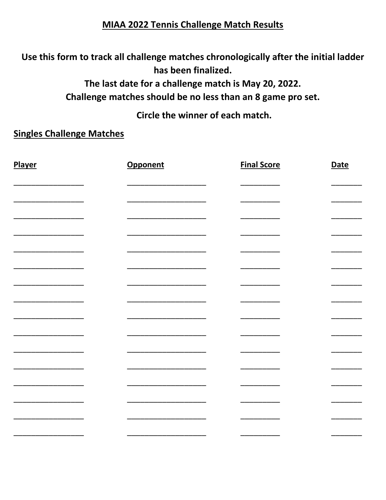## **MIAA 2022 Tennis Challenge Match Results**

Use this form to track all challenge matches chronologically after the initial ladder has been finalized.

The last date for a challenge match is May 20, 2022.

Challenge matches should be no less than an 8 game pro set.

Circle the winner of each match.

## **Singles Challenge Matches**

| Player | Opponent | <b>Final Score</b> | <b>Date</b> |
|--------|----------|--------------------|-------------|
|        |          |                    |             |
|        |          |                    |             |
|        |          |                    |             |
|        |          |                    |             |
|        |          |                    |             |
|        |          |                    |             |
|        |          |                    |             |
|        |          |                    |             |
|        |          |                    |             |
|        |          |                    |             |
|        |          |                    |             |
|        |          |                    |             |
|        |          |                    |             |
|        |          |                    |             |
|        |          |                    |             |
|        |          |                    |             |